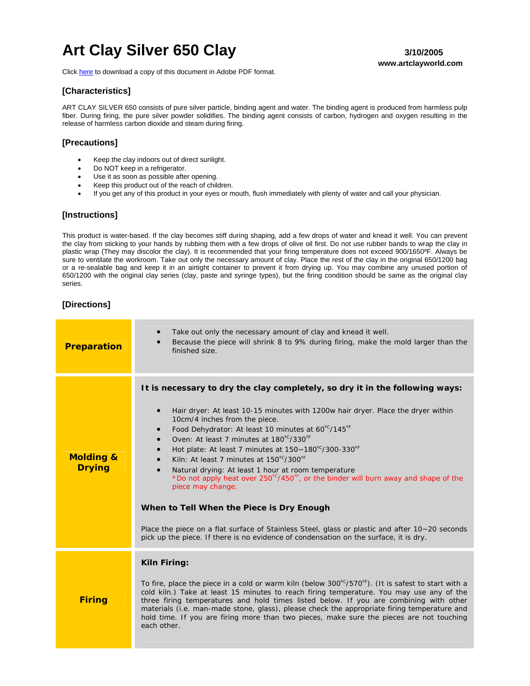# Art Clay Silver 650 Clay **3/10/2005** 3/10/2005

Click [here](http://artclayusa.com/pdf/instructions_pdf/ACS650_Clay.pdf) to download a copy of this document in Adobe PDF format.

# **www.artclayworld.com**

## **[Characteristics]**

ART CLAY SILVER 650 consists of pure silver particle, binding agent and water. The binding agent is produced from harmless pulp fiber. During firing, the pure silver powder solidifies. The binding agent consists of carbon, hydrogen and oxygen resulting in the release of harmless carbon dioxide and steam during firing.

#### **[Precautions]**

- Keep the clay indoors out of direct sunlight.
- Do NOT keep in a refrigerator.
- Use it as soon as possible after opening.
- Keep this product out of the reach of children.
- If you get any of this product in your eyes or mouth, flush immediately with plenty of water and call your physician.

#### **[Instructions]**

This product is water-based. If the clay becomes stiff during shaping, add a few drops of water and knead it well. You can prevent the clay from sticking to your hands by rubbing them with a few drops of olive oil first. Do not use rubber bands to wrap the clay in plastic wrap (They may discolor the clay). It is recommended that your firing temperature does not exceed 900/1650ºF. Always be sure to ventilate the workroom. Take out only the necessary amount of clay. Place the rest of the clay in the original 650/1200 bag or a re-sealable bag and keep it in an airtight container to prevent it from drying up. You may combine any unused portion of 650/1200 with the original clay series (clay, paste and syringe types), but the firing condition should be same as the original clay series.

### **[Directions]**

| <b>Preparation</b>                    | Take out only the necessary amount of clay and knead it well.<br>Because the piece will shrink 8 to 9% during firing, make the mold larger than the<br>finished size.                                                                                                                                                                                                                                                                                                                                                                                                                                                                                                                                                                                                                                                                                                                |
|---------------------------------------|--------------------------------------------------------------------------------------------------------------------------------------------------------------------------------------------------------------------------------------------------------------------------------------------------------------------------------------------------------------------------------------------------------------------------------------------------------------------------------------------------------------------------------------------------------------------------------------------------------------------------------------------------------------------------------------------------------------------------------------------------------------------------------------------------------------------------------------------------------------------------------------|
| <b>Molding &amp;</b><br><b>Drying</b> | It is necessary to dry the clay completely, so dry it in the following ways:<br>Hair dryer: At least 10-15 minutes with 1200w hair dryer. Place the dryer within<br>10cm/4 inches from the piece.<br>Food Dehydrator: At least 10 minutes at 60°C/145°F<br>$\bullet$<br>Oven: At least 7 minutes at 180°C/330°F<br>$\bullet$<br>Hot plate: At least 7 minutes at 150~180°C/300-330°F<br>$\bullet$<br>Kiln: At least 7 minutes at 150°C/300°F<br>$\bullet$<br>Natural drying: At least 1 hour at room temperature<br>$\bullet$<br>*Do not apply heat over 250°C/450°F, or the binder will burn away and shape of the<br>piece may change.<br>When to Tell When the Piece is Dry Enough<br>Place the piece on a flat surface of Stainless Steel, glass or plastic and after $10 - 20$ seconds<br>pick up the piece. If there is no evidence of condensation on the surface, it is dry. |
| <b>Firing</b>                         | Kiln Firing:<br>To fire, place the piece in a cold or warm kiln (below 300°C/570°F). (It is safest to start with a<br>cold kiln.) Take at least 15 minutes to reach firing temperature. You may use any of the<br>three firing temperatures and hold times listed below. If you are combining with other<br>materials (i.e. man-made stone, glass), please check the appropriate firing temperature and<br>hold time. If you are firing more than two pieces, make sure the pieces are not touching<br>each other.                                                                                                                                                                                                                                                                                                                                                                   |